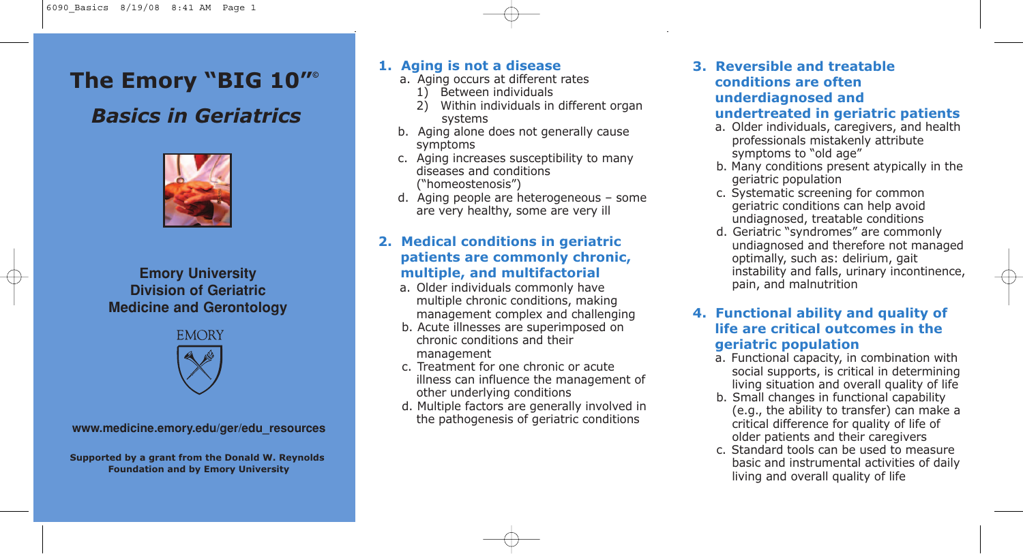# **The Emory "BIG 10"© The Emory "BIG 10"© The Emory "BIG 10"© The Emory "BIG 10"© The Emory "BIG 10"©**

# *Basics in Geriatrics Basics in Geriatrics Basics in Geriatrics Basics in Geriatrics Basics in Geriatrics*



#### **Emory University Reynolds Program Strengthening Physician Training Physician Training Physician Training Physician Training Physician Training Physician Training Physician Training Physician Training Physician Training Physician Training Physician Trainin ision of Geriat Emory University Reynolds Program Strengthening Physician Training Physician Training Physician Training Physician Training Physician Training Physician Training Physician Training Physician Training Physician Training Physician Training Physician Trainin Emory University Reynolds Program Advertising Reynolds Program and Program and Program**  $\mathbb{R}$ **Strengthening Physician Training Strengthening Physician Training Division of Geriatric in Geriat Medicine and Gerontology**



**www.cha.emory.edu/reynoldsprogram www.cha.emory.edu/reynoldsprogram www.cha.emory.edu/reynoldsprogram www.medicine.emory.edu/ger/edu\_resources**

Supported by a grant from the Donald W. Reynolds **Foundation and by Emory University Foundation and by Emory University Foundation and by Emory University Foundation and by Emory University Foundation and by Emory University**

### **1. Aging is not a disease 1. Aging is not a disease**

- a. Aging occurs at different rates a. Aging occurs at different rates
- 1) Between individuals 1) Between individuals
- 2) Within individuals in different organ 2) Within individuals in different organ systems systems
- b. Aging alone does not generally cause b. Aging alone does not generally cause symptoms symptoms
- c. Aging increases susceptibility to many c. Aging increases susceptibility to many diseases and conditions diseases and conditions ("homeostenosis") ("homeostenosis")
- d. Aging people are heterogeneous some d. Aging people are heterogeneous some are very healthy, some are very ill are very healthy, some are very ill

# **2. Medical conditions in geriatric 2. Medical conditions in geriatric patients are commonly chronic, patients are commonly chronic, multiple, and multifactorial multiple, and multifactorial**

- a. Older individuals commonly have a. Older individuals commonly have multiple chronic conditions, making multiple chronic conditions, making management complex and challenging management complex and challenging
- b. Acute illnesses are superimposed on b. Acute illnesses are superimposed on chronic conditions and their chronic conditions and their management management
- c. Treatment for one chronic or acute c. Treatment for one chronic or acute illness can influence the management of illness can influence the management of other underlying conditions other underlying conditions
- d. Multiple factors are generally involved in d. Multiple factors are generally involved in the pathogenesis of geriatric conditions the pathogenesis of geriatric conditions

#### **3. Reversible and treatable conditions are often underdiagnosed and undertreated in geriatric patients**

- a. Older individuals, caregivers, and health professionals mistakenly attribute symptoms to "old age"
- b. Many conditions present atypically in the geriatric population
- c. Systematic screening for common geriatric conditions can help avoid undiagnosed, treatable conditions
- d. Geriatric "syndromes" are commonly undiagnosed and therefore not managed optimally, such as: delirium, gait instability and falls, urinary incontinence, pain, and malnutrition

### **4. Functional ability and quality of life are critical outcomes in the geriatric population**

- a. Functional capacity, in combination with social supports, is critical in determining living situation and overall quality of life
- b. Small changes in functional capability (e.g., the ability to transfer) can make a critical difference for quality of life of older patients and their caregivers
- c. Standard tools can be used to measure basic and instrumental activities of daily living and overall quality of life